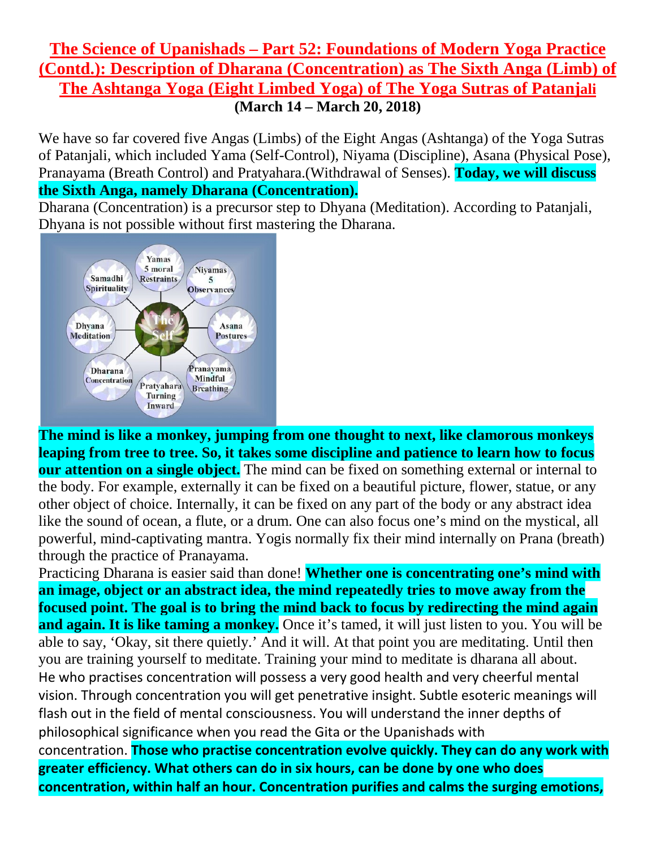## **The Science of Upanishads – Part 52: Foundations of Modern Yoga Practice (Contd.): Description of Dharana (Concentration) as The Sixth Anga (Limb) of The Ashtanga Yoga (Eight Limbed Yoga) of The Yoga Sutras of Patanjali (March 14 – March 20, 2018)**

We have so far covered five Angas (Limbs) of the Eight Angas (Ashtanga) of the Yoga Sutras of Patanjali, which included Yama (Self-Control), Niyama (Discipline), Asana (Physical Pose), Pranayama (Breath Control) and Pratyahara.(Withdrawal of Senses). **Today, we will discuss the Sixth Anga, namely Dharana (Concentration).**

Dharana (Concentration) is a precursor step to Dhyana (Meditation). According to Patanjali, Dhyana is not possible without first mastering the Dharana.



**The mind is like a monkey, jumping from one thought to next, like clamorous monkeys leaping from tree to tree. So, it takes some discipline and patience to learn how to focus our attention on a single object.** The mind can be fixed on something external or internal to the body. For example, externally it can be fixed on a beautiful picture, flower, statue, or any other object of choice. Internally, it can be fixed on any part of the body or any abstract idea like the sound of ocean, a flute, or a drum. One can also focus one's mind on the mystical, all powerful, mind-captivating mantra. Yogis normally fix their mind internally on Prana (breath) through the practice of Pranayama.

Practicing Dharana is easier said than done! **Whether one is concentrating one's mind with an image, object or an abstract idea, the mind repeatedly tries to move away from the focused point. The goal is to bring the mind back to focus by redirecting the mind again and again. It is like taming a monkey.** Once it's tamed, it will just listen to you. You will be able to say, 'Okay, sit there quietly.' And it will. At that point you are meditating. Until then you are training yourself to meditate. Training your mind to meditate is dharana all about. He who practises concentration will possess a very good health and very cheerful mental vision. Through concentration you will get penetrative insight. Subtle esoteric meanings will flash out in the field of mental consciousness. You will understand the inner depths of philosophical significance when you read the Gita or the Upanishads with concentration. **Those who practise concentration evolve quickly. They can do any work with greater efficiency. What others can do in six hours, can be done by one who does concentration, within half an hour. Concentration purifies and calms the surging emotions,**